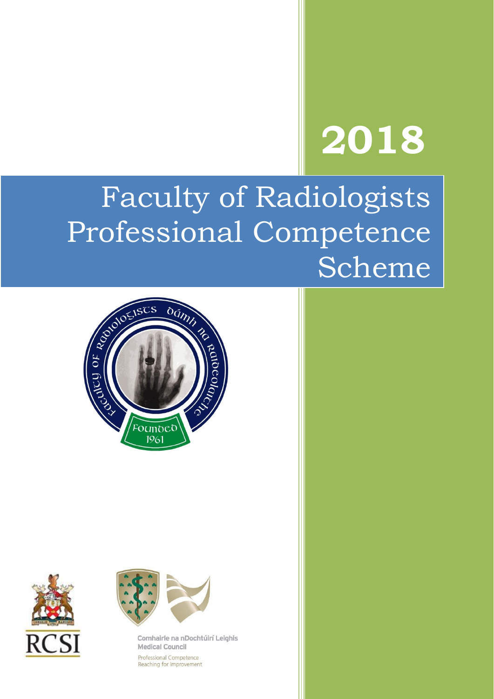# **2018**

# Faculty of Radiologists Professional Competence Scheme







Comhairle na nDochtúirí Leighis **Medical Council** Professional Competence Reaching for Improvement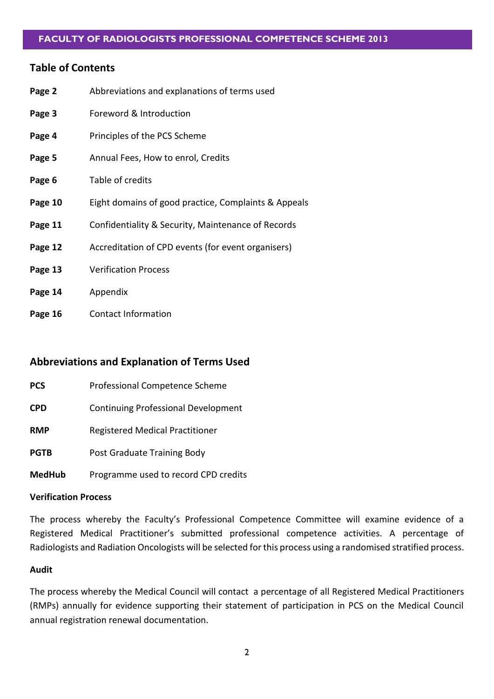#### **Table of Contents**

| Page 2  | Abbreviations and explanations of terms used         |
|---------|------------------------------------------------------|
| Page 3  | Foreword & Introduction                              |
| Page 4  | Principles of the PCS Scheme                         |
| Page 5  | Annual Fees, How to enrol, Credits                   |
| Page 6  | Table of credits                                     |
| Page 10 | Eight domains of good practice, Complaints & Appeals |
| Page 11 | Confidentiality & Security, Maintenance of Records   |
| Page 12 | Accreditation of CPD events (for event organisers)   |
| Page 13 | <b>Verification Process</b>                          |
| Page 14 | Appendix                                             |
| Page 16 | <b>Contact Information</b>                           |

# **Abbreviations and Explanation of Terms Used**

| <b>PCS</b>    | Professional Competence Scheme             |  |
|---------------|--------------------------------------------|--|
| <b>CPD</b>    | <b>Continuing Professional Development</b> |  |
| <b>RMP</b>    | <b>Registered Medical Practitioner</b>     |  |
| <b>PGTB</b>   | Post Graduate Training Body                |  |
| <b>MedHub</b> | Programme used to record CPD credits       |  |

#### **Verification Process**

The process whereby the Faculty's Professional Competence Committee will examine evidence of a Registered Medical Practitioner's submitted professional competence activities. A percentage of Radiologists and Radiation Oncologists will be selected for this process using a randomised stratified process.

#### **Audit**

The process whereby the Medical Council will contact a percentage of all Registered Medical Practitioners (RMPs) annually for evidence supporting their statement of participation in PCS on the Medical Council annual registration renewal documentation.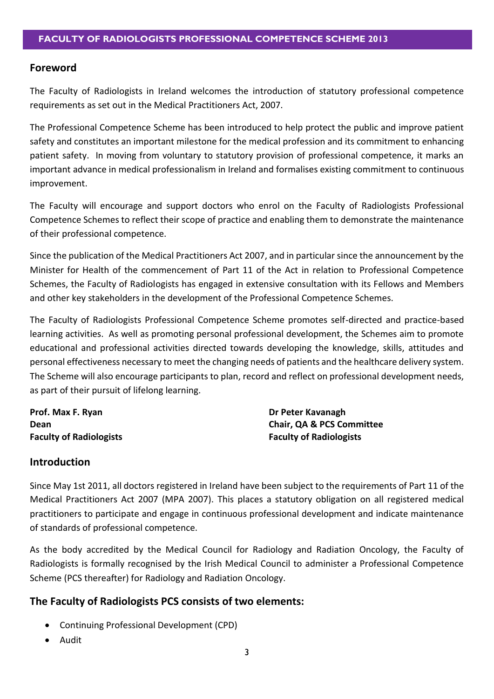# **Foreword**

The Faculty of Radiologists in Ireland welcomes the introduction of statutory professional competence requirements as set out in the Medical Practitioners Act, 2007.

The Professional Competence Scheme has been introduced to help protect the public and improve patient safety and constitutes an important milestone for the medical profession and its commitment to enhancing patient safety. In moving from voluntary to statutory provision of professional competence, it marks an important advance in medical professionalism in Ireland and formalises existing commitment to continuous improvement.

The Faculty will encourage and support doctors who enrol on the Faculty of Radiologists Professional Competence Schemes to reflect their scope of practice and enabling them to demonstrate the maintenance of their professional competence.

Since the publication of the Medical Practitioners Act 2007, and in particular since the announcement by the Minister for Health of the commencement of Part 11 of the Act in relation to Professional Competence Schemes, the Faculty of Radiologists has engaged in extensive consultation with its Fellows and Members and other key stakeholders in the development of the Professional Competence Schemes.

The Faculty of Radiologists Professional Competence Scheme promotes self-directed and practice-based learning activities. As well as promoting personal professional development, the Schemes aim to promote educational and professional activities directed towards developing the knowledge, skills, attitudes and personal effectiveness necessary to meet the changing needs of patients and the healthcare delivery system. The Scheme will also encourage participants to plan, record and reflect on professional development needs, as part of their pursuit of lifelong learning.

**Prof. Max F. Ryan Dr Peter Kavanagh** 

**Dean Chair, QA & PCS Committee Faculty of Radiologists Faculty of Radiologists**

# **Introduction**

Since May 1st 2011, all doctors registered in Ireland have been subject to the requirements of Part 11 of the Medical Practitioners Act 2007 (MPA 2007). This places a statutory obligation on all registered medical practitioners to participate and engage in continuous professional development and indicate maintenance of standards of professional competence.

As the body accredited by the Medical Council for Radiology and Radiation Oncology, the Faculty of Radiologists is formally recognised by the Irish Medical Council to administer a Professional Competence Scheme (PCS thereafter) for Radiology and Radiation Oncology.

# **The Faculty of Radiologists PCS consists of two elements:**

- Continuing Professional Development (CPD)
- Audit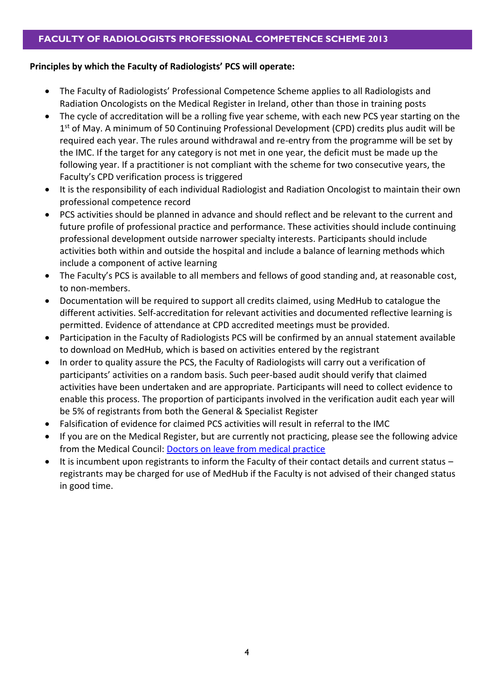#### **Principles by which the Faculty of Radiologists' PCS will operate:**

- The Faculty of Radiologists' Professional Competence Scheme applies to all Radiologists and Radiation Oncologists on the Medical Register in Ireland, other than those in training posts
- The cycle of accreditation will be a rolling five year scheme, with each new PCS year starting on the 1<sup>st</sup> of May. A minimum of 50 Continuing Professional Development (CPD) credits plus audit will be required each year. The rules around withdrawal and re-entry from the programme will be set by the IMC. If the target for any category is not met in one year, the deficit must be made up the following year. If a practitioner is not compliant with the scheme for two consecutive years, the Faculty's CPD verification process is triggered
- It is the responsibility of each individual Radiologist and Radiation Oncologist to maintain their own professional competence record
- PCS activities should be planned in advance and should reflect and be relevant to the current and future profile of professional practice and performance. These activities should include continuing professional development outside narrower specialty interests. Participants should include activities both within and outside the hospital and include a balance of learning methods which include a component of active learning
- The Faculty's PCS is available to all members and fellows of good standing and, at reasonable cost, to non-members.
- Documentation will be required to support all credits claimed, using MedHub to catalogue the different activities. Self-accreditation for relevant activities and documented reflective learning is permitted. Evidence of attendance at CPD accredited meetings must be provided.
- Participation in the Faculty of Radiologists PCS will be confirmed by an annual statement available to download on MedHub, which is based on activities entered by the registrant
- In order to quality assure the PCS, the Faculty of Radiologists will carry out a verification of participants' activities on a random basis. Such peer-based audit should verify that claimed activities have been undertaken and are appropriate. Participants will need to collect evidence to enable this process. The proportion of participants involved in the verification audit each year will be 5% of registrants from both the General & Specialist Register
- Falsification of evidence for claimed PCS activities will result in referral to the IMC
- If you are on the Medical Register, but are currently not practicing, please see the following advice from the Medical Council: [Doctors on leave from medical practice](http://www.medicalcouncil.ie/Information-for-Doctors/Professional-Competence-FAQ/Doctors-on-leave-from-medical-practice.html)
- It is incumbent upon registrants to inform the Faculty of their contact details and current status registrants may be charged for use of MedHub if the Faculty is not advised of their changed status in good time.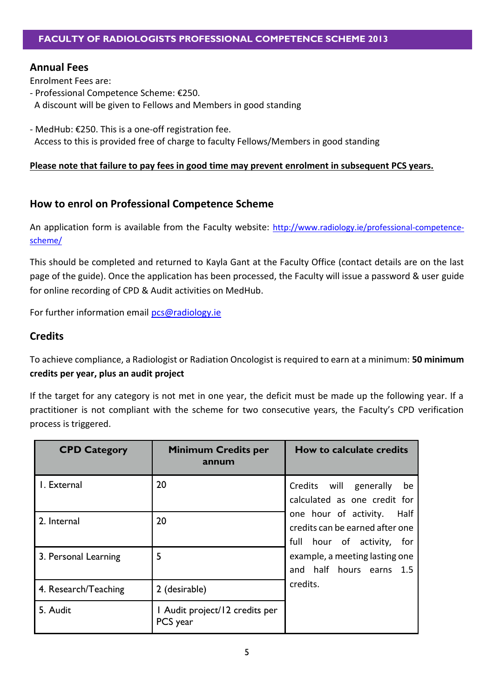# **Annual Fees**

Enrolment Fees are:

- Professional Competence Scheme: €250.
- A discount will be given to Fellows and Members in good standing
- MedHub: €250. This is a one-off registration fee. Access to this is provided free of charge to faculty Fellows/Members in good standing

#### **Please note that failure to pay fees in good time may prevent enrolment in subsequent PCS years.**

# **How to enrol on Professional Competence Scheme**

An application form is available from the Faculty website: [http://www.radiology.ie/professional-competence](http://www.radiology.ie/professional-competence-scheme/)[scheme/](http://www.radiology.ie/professional-competence-scheme/)

This should be completed and returned to Kayla Gant at the Faculty Office (contact details are on the last page of the guide). Once the application has been processed, the Faculty will issue a password & user guide for online recording of CPD & Audit activities on MedHub.

For further information email [pcs@radiology.ie](mailto:pcs@radiology.ie)

# **Credits**

To achieve compliance, a Radiologist or Radiation Oncologist is required to earn at a minimum: **50 minimum credits per year, plus an audit project**

If the target for any category is not met in one year, the deficit must be made up the following year. If a practitioner is not compliant with the scheme for two consecutive years, the Faculty's CPD verification process is triggered.

| <b>CPD Category</b>  | <b>Minimum Credits per</b><br>annum        | <b>How to calculate credits</b>                                                                |
|----------------------|--------------------------------------------|------------------------------------------------------------------------------------------------|
| I. External          | 20                                         | Credits will generally<br>be<br>calculated as one credit for                                   |
| 2. Internal          | 20                                         | one hour of activity.<br>Half<br>credits can be earned after one<br>full hour of activity, for |
| 3. Personal Learning | 5                                          | example, a meeting lasting one<br>and half hours earns 1.5                                     |
| 4. Research/Teaching | 2 (desirable)                              | credits.                                                                                       |
| 5. Audit             | I Audit project/12 credits per<br>PCS year |                                                                                                |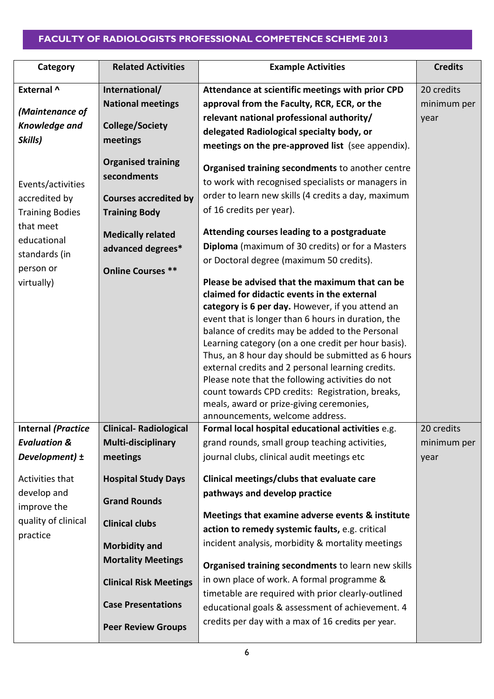| Category                                                             | <b>Related Activities</b>                                                 | <b>Example Activities</b>                                                                                                                                                                                                                                                                                                                                                                                                                                                                                                                                                                                           | <b>Credits</b> |
|----------------------------------------------------------------------|---------------------------------------------------------------------------|---------------------------------------------------------------------------------------------------------------------------------------------------------------------------------------------------------------------------------------------------------------------------------------------------------------------------------------------------------------------------------------------------------------------------------------------------------------------------------------------------------------------------------------------------------------------------------------------------------------------|----------------|
| External ^                                                           | International/                                                            | Attendance at scientific meetings with prior CPD                                                                                                                                                                                                                                                                                                                                                                                                                                                                                                                                                                    | 20 credits     |
| (Maintenance of                                                      | <b>National meetings</b>                                                  | approval from the Faculty, RCR, ECR, or the                                                                                                                                                                                                                                                                                                                                                                                                                                                                                                                                                                         | minimum per    |
|                                                                      |                                                                           | relevant national professional authority/                                                                                                                                                                                                                                                                                                                                                                                                                                                                                                                                                                           | year           |
| <b>Knowledge and</b>                                                 | <b>College/Society</b>                                                    | delegated Radiological specialty body, or                                                                                                                                                                                                                                                                                                                                                                                                                                                                                                                                                                           |                |
| Skills)                                                              | meetings                                                                  | meetings on the pre-approved list (see appendix).                                                                                                                                                                                                                                                                                                                                                                                                                                                                                                                                                                   |                |
| Events/activities                                                    | <b>Organised training</b><br>secondments                                  | Organised training secondments to another centre<br>to work with recognised specialists or managers in                                                                                                                                                                                                                                                                                                                                                                                                                                                                                                              |                |
| accredited by                                                        | <b>Courses accredited by</b>                                              | order to learn new skills (4 credits a day, maximum                                                                                                                                                                                                                                                                                                                                                                                                                                                                                                                                                                 |                |
| <b>Training Bodies</b>                                               | <b>Training Body</b>                                                      | of 16 credits per year).                                                                                                                                                                                                                                                                                                                                                                                                                                                                                                                                                                                            |                |
| that meet<br>educational<br>standards (in<br>person or<br>virtually) | <b>Medically related</b><br>advanced degrees*<br><b>Online Courses **</b> | Attending courses leading to a postgraduate<br><b>Diploma</b> (maximum of 30 credits) or for a Masters<br>or Doctoral degree (maximum 50 credits).                                                                                                                                                                                                                                                                                                                                                                                                                                                                  |                |
|                                                                      |                                                                           | Please be advised that the maximum that can be<br>claimed for didactic events in the external<br>category is 6 per day. However, if you attend an<br>event that is longer than 6 hours in duration, the<br>balance of credits may be added to the Personal<br>Learning category (on a one credit per hour basis).<br>Thus, an 8 hour day should be submitted as 6 hours<br>external credits and 2 personal learning credits.<br>Please note that the following activities do not<br>count towards CPD credits: Registration, breaks,<br>meals, award or prize-giving ceremonies,<br>announcements, welcome address. |                |
| <b>Internal (Practice</b>                                            | <b>Clinical- Radiological</b>                                             | Formal local hospital educational activities e.g.                                                                                                                                                                                                                                                                                                                                                                                                                                                                                                                                                                   | 20 credits     |
| <b>Evaluation &amp;</b>                                              | Multi-disciplinary                                                        | grand rounds, small group teaching activities,                                                                                                                                                                                                                                                                                                                                                                                                                                                                                                                                                                      | minimum per    |
| Development) $\pm$                                                   | meetings                                                                  | journal clubs, clinical audit meetings etc                                                                                                                                                                                                                                                                                                                                                                                                                                                                                                                                                                          | year           |
| Activities that                                                      | <b>Hospital Study Days</b>                                                | Clinical meetings/clubs that evaluate care                                                                                                                                                                                                                                                                                                                                                                                                                                                                                                                                                                          |                |
| develop and<br>improve the                                           | <b>Grand Rounds</b>                                                       | pathways and develop practice                                                                                                                                                                                                                                                                                                                                                                                                                                                                                                                                                                                       |                |
| quality of clinical                                                  |                                                                           | Meetings that examine adverse events & institute                                                                                                                                                                                                                                                                                                                                                                                                                                                                                                                                                                    |                |
| practice                                                             | <b>Clinical clubs</b>                                                     | action to remedy systemic faults, e.g. critical                                                                                                                                                                                                                                                                                                                                                                                                                                                                                                                                                                     |                |
|                                                                      | <b>Morbidity and</b>                                                      | incident analysis, morbidity & mortality meetings                                                                                                                                                                                                                                                                                                                                                                                                                                                                                                                                                                   |                |
|                                                                      | <b>Mortality Meetings</b>                                                 | Organised training secondments to learn new skills                                                                                                                                                                                                                                                                                                                                                                                                                                                                                                                                                                  |                |
|                                                                      | <b>Clinical Risk Meetings</b>                                             | in own place of work. A formal programme &                                                                                                                                                                                                                                                                                                                                                                                                                                                                                                                                                                          |                |
|                                                                      |                                                                           | timetable are required with prior clearly-outlined                                                                                                                                                                                                                                                                                                                                                                                                                                                                                                                                                                  |                |
|                                                                      | <b>Case Presentations</b>                                                 | educational goals & assessment of achievement. 4                                                                                                                                                                                                                                                                                                                                                                                                                                                                                                                                                                    |                |
|                                                                      | <b>Peer Review Groups</b>                                                 | credits per day with a max of 16 credits per year.                                                                                                                                                                                                                                                                                                                                                                                                                                                                                                                                                                  |                |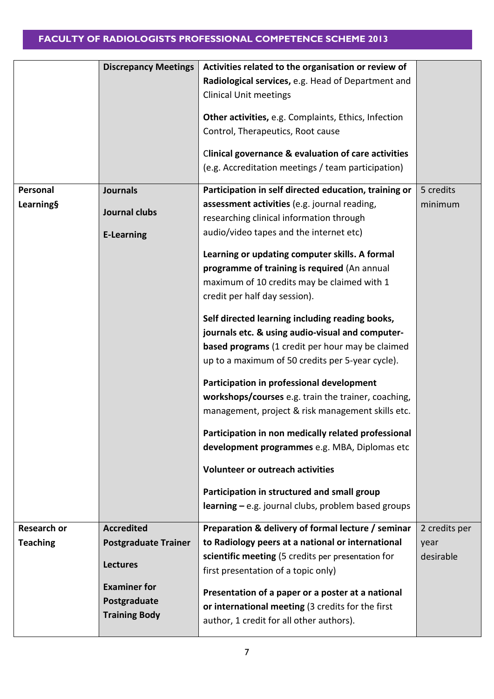|                    | <b>Discrepancy Meetings</b> | Activities related to the organisation or review of     |               |
|--------------------|-----------------------------|---------------------------------------------------------|---------------|
|                    |                             | Radiological services, e.g. Head of Department and      |               |
|                    |                             | <b>Clinical Unit meetings</b>                           |               |
|                    |                             |                                                         |               |
|                    |                             | Other activities, e.g. Complaints, Ethics, Infection    |               |
|                    |                             | Control, Therapeutics, Root cause                       |               |
|                    |                             |                                                         |               |
|                    |                             | Clinical governance & evaluation of care activities     |               |
|                    |                             | (e.g. Accreditation meetings / team participation)      |               |
| Personal           | <b>Journals</b>             | Participation in self directed education, training or   | 5 credits     |
| <b>Learning§</b>   |                             | assessment activities (e.g. journal reading,            | minimum       |
|                    | Journal clubs               | researching clinical information through                |               |
|                    |                             |                                                         |               |
|                    | <b>E-Learning</b>           | audio/video tapes and the internet etc)                 |               |
|                    |                             | Learning or updating computer skills. A formal          |               |
|                    |                             | programme of training is required (An annual            |               |
|                    |                             | maximum of 10 credits may be claimed with 1             |               |
|                    |                             | credit per half day session).                           |               |
|                    |                             |                                                         |               |
|                    |                             | Self directed learning including reading books,         |               |
|                    |                             | journals etc. & using audio-visual and computer-        |               |
|                    |                             | <b>based programs</b> (1 credit per hour may be claimed |               |
|                    |                             | up to a maximum of 50 credits per 5-year cycle).        |               |
|                    |                             |                                                         |               |
|                    |                             | Participation in professional development               |               |
|                    |                             | workshops/courses e.g. train the trainer, coaching,     |               |
|                    |                             | management, project & risk management skills etc.       |               |
|                    |                             | Participation in non medically related professional     |               |
|                    |                             | development programmes e.g. MBA, Diplomas etc           |               |
|                    |                             |                                                         |               |
|                    |                             | <b>Volunteer or outreach activities</b>                 |               |
|                    |                             | Participation in structured and small group             |               |
|                    |                             | $learning - e.g.$ journal clubs, problem based groups   |               |
|                    |                             |                                                         |               |
| <b>Research or</b> | <b>Accredited</b>           | Preparation & delivery of formal lecture / seminar      | 2 credits per |
| <b>Teaching</b>    | <b>Postgraduate Trainer</b> | to Radiology peers at a national or international       | year          |
|                    |                             | scientific meeting (5 credits per presentation for      | desirable     |
|                    | <b>Lectures</b>             | first presentation of a topic only)                     |               |
|                    | <b>Examiner for</b>         |                                                         |               |
|                    | Postgraduate                | Presentation of a paper or a poster at a national       |               |
|                    | <b>Training Body</b>        | or international meeting (3 credits for the first       |               |
|                    |                             | author, 1 credit for all other authors).                |               |
|                    |                             |                                                         |               |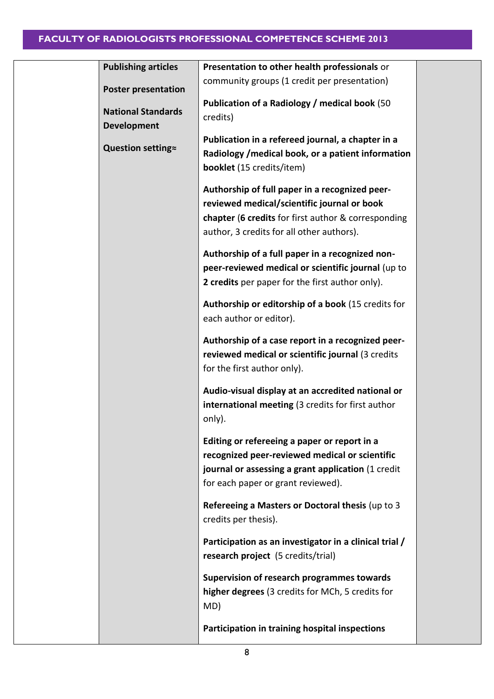| Presentation to other health professionals or                                                                                                                                                     |                                              |
|---------------------------------------------------------------------------------------------------------------------------------------------------------------------------------------------------|----------------------------------------------|
|                                                                                                                                                                                                   |                                              |
| Publication of a Radiology / medical book (50<br>credits)                                                                                                                                         |                                              |
| Publication in a refereed journal, a chapter in a<br>Radiology / medical book, or a patient information<br><b>booklet</b> (15 credits/item)                                                       |                                              |
| Authorship of full paper in a recognized peer-<br>reviewed medical/scientific journal or book<br>chapter (6 credits for first author & corresponding<br>author, 3 credits for all other authors). |                                              |
| Authorship of a full paper in a recognized non-<br>peer-reviewed medical or scientific journal (up to<br>2 credits per paper for the first author only).                                          |                                              |
| Authorship or editorship of a book (15 credits for<br>each author or editor).                                                                                                                     |                                              |
| Authorship of a case report in a recognized peer-<br>reviewed medical or scientific journal (3 credits<br>for the first author only).                                                             |                                              |
| Audio-visual display at an accredited national or<br>international meeting (3 credits for first author<br>only).                                                                                  |                                              |
| Editing or refereeing a paper or report in a<br>recognized peer-reviewed medical or scientific<br>journal or assessing a grant application (1 credit<br>for each paper or grant reviewed).        |                                              |
| Refereeing a Masters or Doctoral thesis (up to 3<br>credits per thesis).                                                                                                                          |                                              |
| Participation as an investigator in a clinical trial /<br>research project (5 credits/trial)                                                                                                      |                                              |
| Supervision of research programmes towards<br>higher degrees (3 credits for MCh, 5 credits for<br>MD)                                                                                             |                                              |
| Participation in training hospital inspections                                                                                                                                                    |                                              |
|                                                                                                                                                                                                   | community groups (1 credit per presentation) |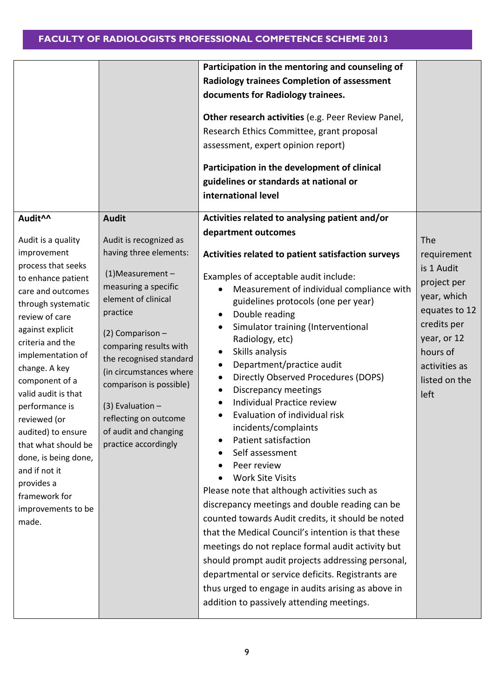|                                                                                                                                                                                                                                                                                                                                                                                                                                                                    |                                                                                                                                                                                                                                                                                                                                                                                   | Participation in the mentoring and counseling of<br><b>Radiology trainees Completion of assessment</b><br>documents for Radiology trainees.<br>Other research activities (e.g. Peer Review Panel,<br>Research Ethics Committee, grant proposal<br>assessment, expert opinion report)<br>Participation in the development of clinical<br>guidelines or standards at national or<br>international level                                                                                                                                                                                                                                                                                                                                                                                                                                                                                                                                                                                                                                                                                                                                             |                                                                                                                                                                     |
|--------------------------------------------------------------------------------------------------------------------------------------------------------------------------------------------------------------------------------------------------------------------------------------------------------------------------------------------------------------------------------------------------------------------------------------------------------------------|-----------------------------------------------------------------------------------------------------------------------------------------------------------------------------------------------------------------------------------------------------------------------------------------------------------------------------------------------------------------------------------|---------------------------------------------------------------------------------------------------------------------------------------------------------------------------------------------------------------------------------------------------------------------------------------------------------------------------------------------------------------------------------------------------------------------------------------------------------------------------------------------------------------------------------------------------------------------------------------------------------------------------------------------------------------------------------------------------------------------------------------------------------------------------------------------------------------------------------------------------------------------------------------------------------------------------------------------------------------------------------------------------------------------------------------------------------------------------------------------------------------------------------------------------|---------------------------------------------------------------------------------------------------------------------------------------------------------------------|
| Audit^^<br>Audit is a quality<br>improvement<br>process that seeks<br>to enhance patient<br>care and outcomes<br>through systematic<br>review of care<br>against explicit<br>criteria and the<br>implementation of<br>change. A key<br>component of a<br>valid audit is that<br>performance is<br>reviewed (or<br>audited) to ensure<br>that what should be<br>done, is being done,<br>and if not it<br>provides a<br>framework for<br>improvements to be<br>made. | <b>Audit</b><br>Audit is recognized as<br>having three elements:<br>$(1)$ Measurement -<br>measuring a specific<br>element of clinical<br>practice<br>(2) Comparison -<br>comparing results with<br>the recognised standard<br>(in circumstances where<br>comparison is possible)<br>$(3)$ Evaluation -<br>reflecting on outcome<br>of audit and changing<br>practice accordingly | Activities related to analysing patient and/or<br>department outcomes<br>Activities related to patient satisfaction surveys<br>Examples of acceptable audit include:<br>Measurement of individual compliance with<br>guidelines protocols (one per year)<br>Double reading<br>Simulator training (Interventional<br>Radiology, etc)<br>Skills analysis<br>Department/practice audit<br>$\bullet$<br>Directly Observed Procedures (DOPS)<br>٠<br>Discrepancy meetings<br>٠<br>Individual Practice review<br>$\bullet$<br>Evaluation of individual risk<br>incidents/complaints<br>Patient satisfaction<br>Self assessment<br>Peer review<br><b>Work Site Visits</b><br>Please note that although activities such as<br>discrepancy meetings and double reading can be<br>counted towards Audit credits, it should be noted<br>that the Medical Council's intention is that these<br>meetings do not replace formal audit activity but<br>should prompt audit projects addressing personal,<br>departmental or service deficits. Registrants are<br>thus urged to engage in audits arising as above in<br>addition to passively attending meetings. | The<br>requirement<br>is 1 Audit<br>project per<br>year, which<br>equates to 12<br>credits per<br>year, or 12<br>hours of<br>activities as<br>listed on the<br>left |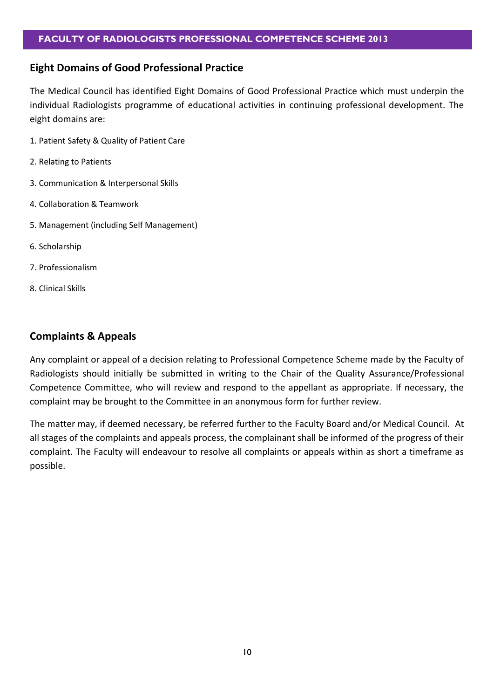#### **Eight Domains of Good Professional Practice**

The Medical Council has identified Eight Domains of Good Professional Practice which must underpin the individual Radiologists programme of educational activities in continuing professional development. The eight domains are:

- 1. Patient Safety & Quality of Patient Care
- 2. Relating to Patients
- 3. Communication & Interpersonal Skills
- 4. Collaboration & Teamwork
- 5. Management (including Self Management)
- 6. Scholarship
- 7. Professionalism
- 8. Clinical Skills

# **Complaints & Appeals**

Any complaint or appeal of a decision relating to Professional Competence Scheme made by the Faculty of Radiologists should initially be submitted in writing to the Chair of the Quality Assurance/Professional Competence Committee, who will review and respond to the appellant as appropriate. If necessary, the complaint may be brought to the Committee in an anonymous form for further review.

The matter may, if deemed necessary, be referred further to the Faculty Board and/or Medical Council. At all stages of the complaints and appeals process, the complainant shall be informed of the progress of their complaint. The Faculty will endeavour to resolve all complaints or appeals within as short a timeframe as possible.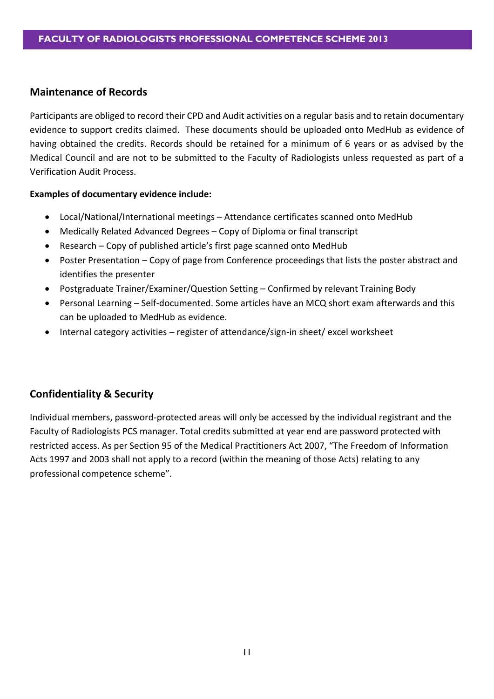# **Maintenance of Records**

Participants are obliged to record their CPD and Audit activities on a regular basis and to retain documentary evidence to support credits claimed. These documents should be uploaded onto MedHub as evidence of having obtained the credits. Records should be retained for a minimum of 6 years or as advised by the Medical Council and are not to be submitted to the Faculty of Radiologists unless requested as part of a Verification Audit Process.

#### **Examples of documentary evidence include:**

- Local/National/International meetings Attendance certificates scanned onto MedHub
- Medically Related Advanced Degrees Copy of Diploma or final transcript
- Research Copy of published article's first page scanned onto MedHub
- Poster Presentation Copy of page from Conference proceedings that lists the poster abstract and identifies the presenter
- Postgraduate Trainer/Examiner/Question Setting Confirmed by relevant Training Body
- Personal Learning Self-documented. Some articles have an MCQ short exam afterwards and this can be uploaded to MedHub as evidence.
- Internal category activities register of attendance/sign-in sheet/ excel worksheet

# **Confidentiality & Security**

Individual members, password-protected areas will only be accessed by the individual registrant and the Faculty of Radiologists PCS manager. Total credits submitted at year end are password protected with restricted access. As per Section 95 of the Medical Practitioners Act 2007, "The Freedom of Information Acts 1997 and 2003 shall not apply to a record (within the meaning of those Acts) relating to any professional competence scheme".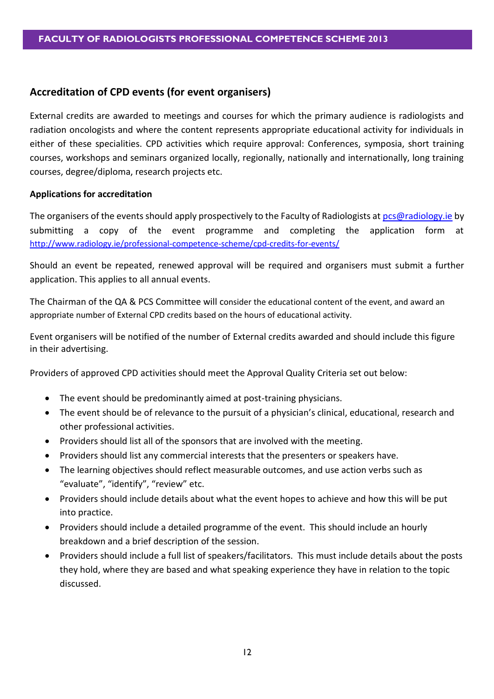# **Accreditation of CPD events (for event organisers)**

External credits are awarded to meetings and courses for which the primary audience is radiologists and radiation oncologists and where the content represents appropriate educational activity for individuals in either of these specialities. CPD activities which require approval: Conferences, symposia, short training courses, workshops and seminars organized locally, regionally, nationally and internationally, long training courses, degree/diploma, research projects etc.

#### **Applications for accreditation**

The organisers of the events should apply prospectively to the Faculty of Radiologists at [pcs@radiology.ie](mailto:pcs@radiology.ie) by submitting a copy of the event programme and completing the application form at <http://www.radiology.ie/professional-competence-scheme/cpd-credits-for-events/>

Should an event be repeated, renewed approval will be required and organisers must submit a further application. This applies to all annual events.

The Chairman of the QA & PCS Committee will consider the educational content of the event, and award an appropriate number of External CPD credits based on the hours of educational activity.

Event organisers will be notified of the number of External credits awarded and should include this figure in their advertising.

Providers of approved CPD activities should meet the Approval Quality Criteria set out below:

- The event should be predominantly aimed at post-training physicians.
- The event should be of relevance to the pursuit of a physician's clinical, educational, research and other professional activities.
- Providers should list all of the sponsors that are involved with the meeting.
- Providers should list any commercial interests that the presenters or speakers have.
- The learning objectives should reflect measurable outcomes, and use action verbs such as "evaluate", "identify", "review" etc.
- Providers should include details about what the event hopes to achieve and how this will be put into practice.
- Providers should include a detailed programme of the event. This should include an hourly breakdown and a brief description of the session.
- Providers should include a full list of speakers/facilitators. This must include details about the posts they hold, where they are based and what speaking experience they have in relation to the topic discussed.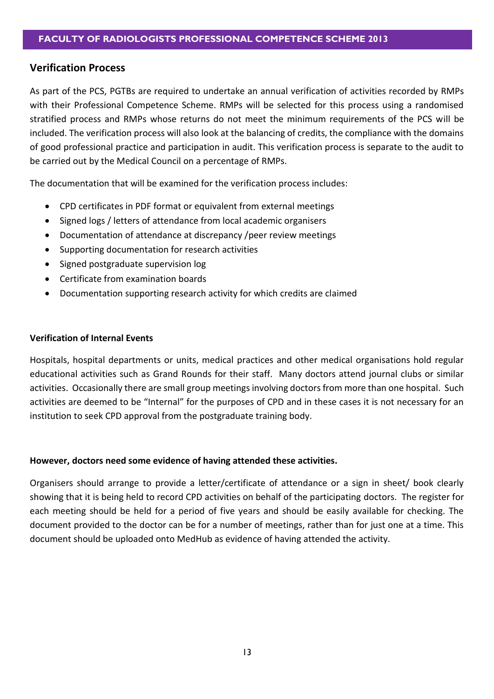#### **Verification Process**

As part of the PCS, PGTBs are required to undertake an annual verification of activities recorded by RMPs with their Professional Competence Scheme. RMPs will be selected for this process using a randomised stratified process and RMPs whose returns do not meet the minimum requirements of the PCS will be included. The verification process will also look at the balancing of credits, the compliance with the domains of good professional practice and participation in audit. This verification process is separate to the audit to be carried out by the Medical Council on a percentage of RMPs.

The documentation that will be examined for the verification process includes:

- CPD certificates in PDF format or equivalent from external meetings
- Signed logs / letters of attendance from local academic organisers
- Documentation of attendance at discrepancy /peer review meetings
- Supporting documentation for research activities
- Signed postgraduate supervision log
- Certificate from examination boards
- Documentation supporting research activity for which credits are claimed

#### **Verification of Internal Events**

Hospitals, hospital departments or units, medical practices and other medical organisations hold regular educational activities such as Grand Rounds for their staff. Many doctors attend journal clubs or similar activities. Occasionally there are small group meetings involving doctors from more than one hospital. Such activities are deemed to be "Internal" for the purposes of CPD and in these cases it is not necessary for an institution to seek CPD approval from the postgraduate training body.

#### **However, doctors need some evidence of having attended these activities.**

Organisers should arrange to provide a letter/certificate of attendance or a sign in sheet/ book clearly showing that it is being held to record CPD activities on behalf of the participating doctors. The register for each meeting should be held for a period of five years and should be easily available for checking. The document provided to the doctor can be for a number of meetings, rather than for just one at a time. This document should be uploaded onto MedHub as evidence of having attended the activity.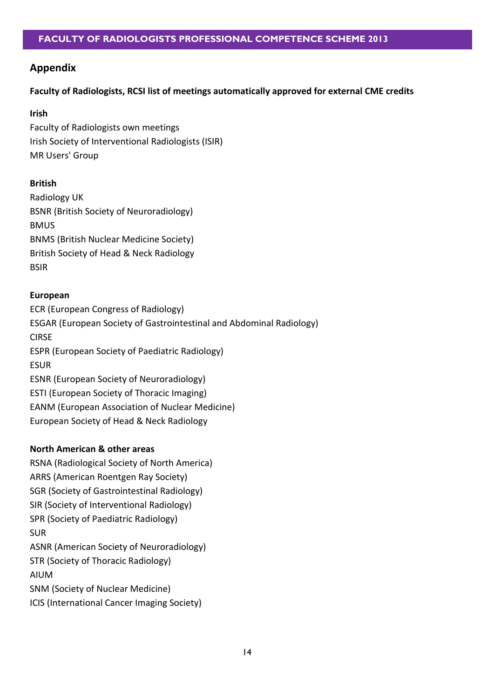# **Appendix**

# **Faculty of Radiologists, RCSI list of meetings automatically approved for external CME credits**

#### **Irish**

Faculty of Radiologists own meetings Irish Society of Interventional Radiologists (ISIR) MR Users' Group

# **British**

Radiology UK BSNR (British Society of Neuroradiology) BMUS BNMS (British Nuclear Medicine Society) British Society of Head & Neck Radiology BSIR

# **European**

ECR (European Congress of Radiology) ESGAR (European Society of Gastrointestinal and Abdominal Radiology) CIRSE ESPR (European Society of Paediatric Radiology) ESUR ESNR (European Society of Neuroradiology) ESTI (European Society of Thoracic Imaging) EANM (European Association of Nuclear Medicine) European Society of Head & Neck Radiology

# **North American & other areas**

RSNA (Radiological Society of North America) ARRS (American Roentgen Ray Society) SGR (Society of Gastrointestinal Radiology) SIR (Society of Interventional Radiology) SPR (Society of Paediatric Radiology) SUR ASNR (American Society of Neuroradiology) STR (Society of Thoracic Radiology) AIUM SNM (Society of Nuclear Medicine) ICIS (International Cancer Imaging Society)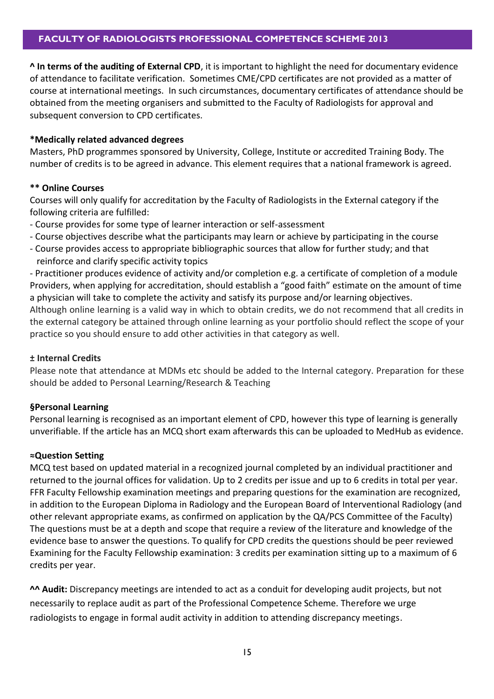**^ In terms of the auditing of External CPD**, it is important to highlight the need for documentary evidence of attendance to facilitate verification. Sometimes CME/CPD certificates are not provided as a matter of course at international meetings. In such circumstances, documentary certificates of attendance should be obtained from the meeting organisers and submitted to the Faculty of Radiologists for approval and subsequent conversion to CPD certificates.

#### **\*Medically related advanced degrees**

Masters, PhD programmes sponsored by University, College, Institute or accredited Training Body. The number of credits is to be agreed in advance. This element requires that a national framework is agreed.

#### **\*\* Online Courses**

Courses will only qualify for accreditation by the Faculty of Radiologists in the External category if the following criteria are fulfilled:

- Course provides for some type of learner interaction or self-assessment
- Course objectives describe what the participants may learn or achieve by participating in the course
- Course provides access to appropriate bibliographic sources that allow for further study; and that reinforce and clarify specific activity topics

- Practitioner produces evidence of activity and/or completion e.g. a certificate of completion of a module Providers, when applying for accreditation, should establish a "good faith" estimate on the amount of time a physician will take to complete the activity and satisfy its purpose and/or learning objectives.

Although online learning is a valid way in which to obtain credits, we do not recommend that all credits in the external category be attained through online learning as your portfolio should reflect the scope of your practice so you should ensure to add other activities in that category as well.

#### **± Internal Credits**

Please note that attendance at MDMs etc should be added to the Internal category. Preparation for these should be added to Personal Learning/Research & Teaching

# **§Personal Learning**

Personal learning is recognised as an important element of CPD, however this type of learning is generally unverifiable. If the article has an MCQ short exam afterwards this can be uploaded to MedHub as evidence.

#### **≈Question Setting**

MCQ test based on updated material in a recognized journal completed by an individual practitioner and returned to the journal offices for validation. Up to 2 credits per issue and up to 6 credits in total per year. FFR Faculty Fellowship examination meetings and preparing questions for the examination are recognized, in addition to the European Diploma in Radiology and the European Board of Interventional Radiology (and other relevant appropriate exams, as confirmed on application by the QA/PCS Committee of the Faculty) The questions must be at a depth and scope that require a review of the literature and knowledge of the evidence base to answer the questions. To qualify for CPD credits the questions should be peer reviewed Examining for the Faculty Fellowship examination: 3 credits per examination sitting up to a maximum of 6 credits per year.

**^^ Audit:** Discrepancy meetings are intended to act as a conduit for developing audit projects, but not necessarily to replace audit as part of the Professional Competence Scheme. Therefore we urge radiologists to engage in formal audit activity in addition to attending discrepancy meetings.